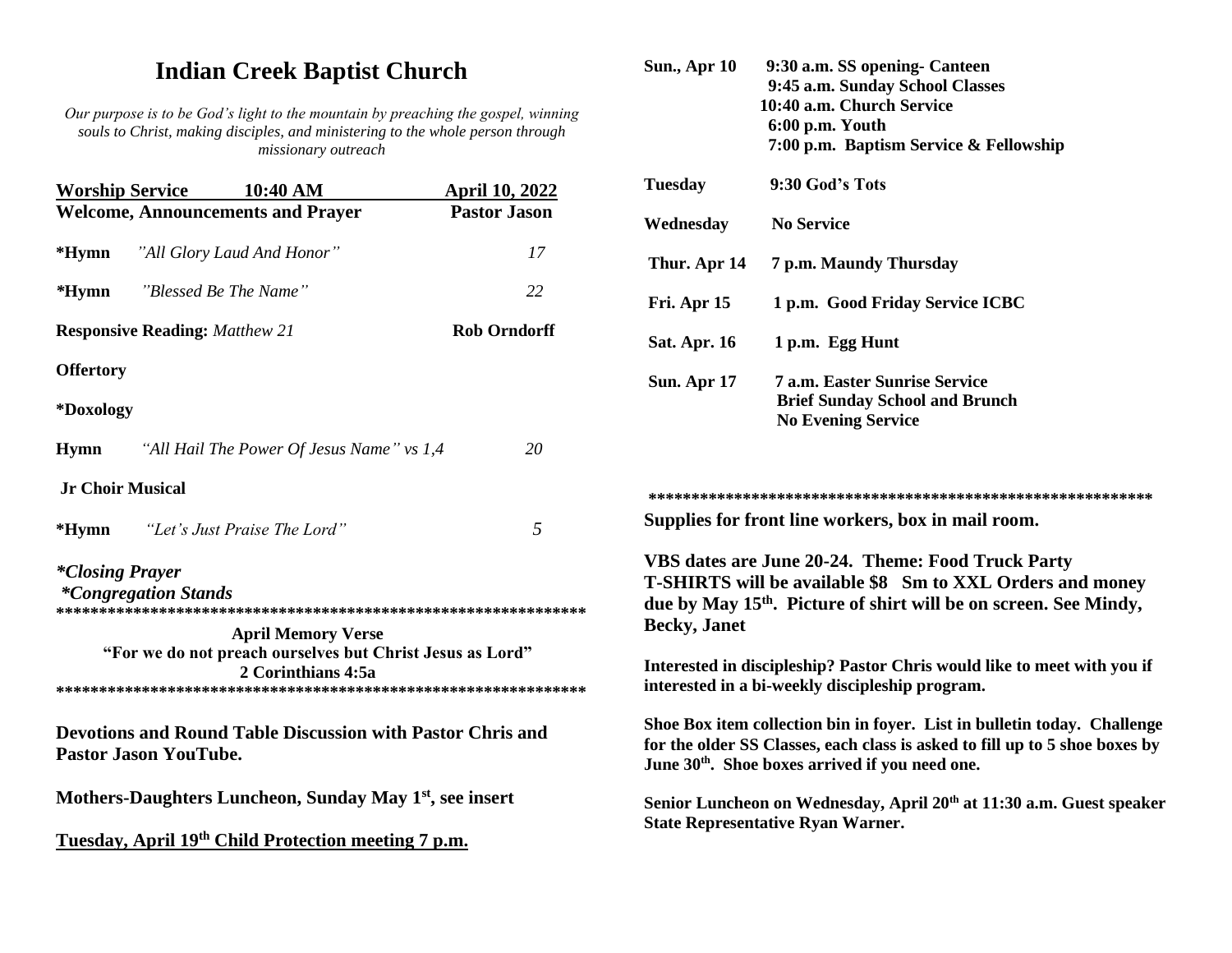# **Indian Creek Baptist Church**

*Our purpose is to be God's light to the mountain by preaching the gospel, winning souls to Christ, making disciples, and ministering to the whole person through missionary outreach*

| <b>Worship Service</b>                   |                                    | $10:40$ AM                                                                                                   | <b>April 10, 2022</b> |
|------------------------------------------|------------------------------------|--------------------------------------------------------------------------------------------------------------|-----------------------|
| <b>Welcome, Announcements and Prayer</b> |                                    |                                                                                                              | <b>Pastor Jason</b>   |
| *Hymn                                    | "All Glory Laud And Honor"         |                                                                                                              | 17                    |
| *Hymn                                    | "Blessed Be The Name"              |                                                                                                              | 22                    |
| <b>Responsive Reading: Matthew 21</b>    |                                    |                                                                                                              | <b>Rob Orndorff</b>   |
| <b>Offertory</b>                         |                                    |                                                                                                              |                       |
| *Doxology                                |                                    |                                                                                                              |                       |
| <b>Hymn</b>                              |                                    | "All Hail The Power Of Jesus Name" vs 1,4                                                                    | 20                    |
| <b>Jr Choir Musical</b>                  |                                    |                                                                                                              |                       |
|                                          | *Hymn "Let's Just Praise The Lord" |                                                                                                              | 5                     |
| <i>*Closing Prayer</i>                   | <i>*Congregation Stands</i>        |                                                                                                              |                       |
|                                          |                                    | <b>April Memory Verse</b><br>"For we do not preach ourselves but Christ Jesus as Lord"<br>2 Corinthians 4:5a |                       |
|                                          | <b>Pastor Jason YouTube.</b>       | <b>Devotions and Round Table Discussion with Pastor Chris and</b>                                            |                       |
|                                          |                                    | Mothers-Daughters Luncheon, Sunday May 1 <sup>st</sup> , see insert                                          |                       |
|                                          |                                    | Tuesday, April 19 <sup>th</sup> Child Protection meeting 7 p.m.                                              |                       |

| <b>Sun., Apr 10</b> | 9:30 a.m. SS opening Canteen           |  |  |
|---------------------|----------------------------------------|--|--|
|                     | 9:45 a.m. Sunday School Classes        |  |  |
|                     | 10:40 a.m. Church Service              |  |  |
|                     | 6:00 p.m. Youth                        |  |  |
|                     | 7:00 p.m. Baptism Service & Fellowship |  |  |
| <b>Tuesday</b>      | 9:30 God's Tots                        |  |  |
| Wednesday           | <b>No Service</b>                      |  |  |
| Thur. Apr 14        | 7 p.m. Maundy Thursday                 |  |  |
| Fri. Apr 15         | 1 p.m. Good Friday Service ICBC        |  |  |
| <b>Sat. Apr. 16</b> | 1 p.m. Egg Hunt                        |  |  |
| Sun. Apr 17         | <b>7 a.m. Easter Sunrise Service</b>   |  |  |
|                     | <b>Brief Sunday School and Brunch</b>  |  |  |
|                     | <b>No Evening Service</b>              |  |  |
|                     |                                        |  |  |
|                     |                                        |  |  |
|                     |                                        |  |  |

**Supplies for front line workers, box in mail room.**

**VBS dates are June 20-24. Theme: Food Truck Party T-SHIRTS will be available \$8 Sm to XXL Orders and money due by May 15th. Picture of shirt will be on screen. See Mindy, Becky, Janet**

**Interested in discipleship? Pastor Chris would like to meet with you if interested in a bi-weekly discipleship program.**

**Shoe Box item collection bin in foyer. List in bulletin today. Challenge for the older SS Classes, each class is asked to fill up to 5 shoe boxes by June 30th. Shoe boxes arrived if you need one.**

**Senior Luncheon on Wednesday, April 20th at 11:30 a.m. Guest speaker State Representative Ryan Warner.**